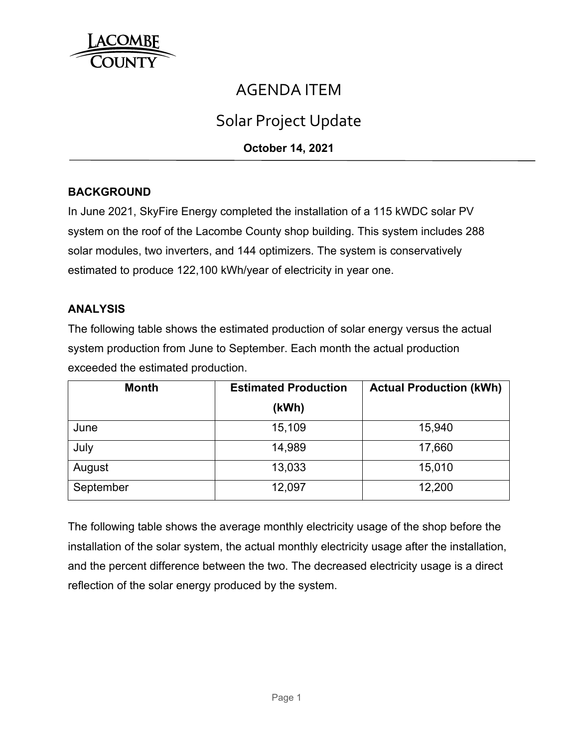

## AGENDA ITEM

# Solar Project Update

**October 14, 2021** 

## **BACKGROUND**

In June 2021, SkyFire Energy completed the installation of a 115 kWDC solar PV system on the roof of the Lacombe County shop building. This system includes 288 solar modules, two inverters, and 144 optimizers. The system is conservatively estimated to produce 122,100 kWh/year of electricity in year one.

#### **ANALYSIS**

The following table shows the estimated production of solar energy versus the actual system production from June to September. Each month the actual production exceeded the estimated production.

| <b>Month</b> | <b>Estimated Production</b> | <b>Actual Production (kWh)</b> |  |
|--------------|-----------------------------|--------------------------------|--|
|              | (kWh)                       |                                |  |
| June         | 15,109                      | 15,940                         |  |
| July         | 14,989                      | 17,660                         |  |
| August       | 13,033                      | 15,010                         |  |
| September    | 12,097                      | 12,200                         |  |

The following table shows the average monthly electricity usage of the shop before the installation of the solar system, the actual monthly electricity usage after the installation, and the percent difference between the two. The decreased electricity usage is a direct reflection of the solar energy produced by the system.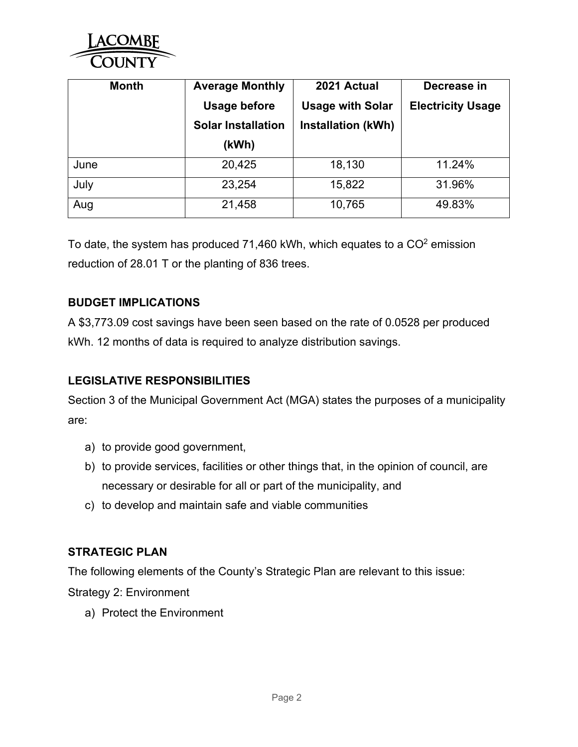

| <b>Month</b> | <b>Average Monthly</b><br><b>Usage before</b><br><b>Solar Installation</b> | 2021 Actual<br><b>Usage with Solar</b><br><b>Installation (kWh)</b> | Decrease in<br><b>Electricity Usage</b> |
|--------------|----------------------------------------------------------------------------|---------------------------------------------------------------------|-----------------------------------------|
|              | (kWh)                                                                      |                                                                     |                                         |
| June         | 20,425                                                                     | 18,130                                                              | 11.24%                                  |
| July         | 23,254                                                                     | 15,822                                                              | 31.96%                                  |
| Aug          | 21,458                                                                     | 10,765                                                              | 49.83%                                  |

To date, the system has produced 71,460 kWh, which equates to a  $CO<sup>2</sup>$  emission reduction of 28.01 T or the planting of 836 trees.

### **BUDGET IMPLICATIONS**

A \$3,773.09 cost savings have been seen based on the rate of 0.0528 per produced kWh. 12 months of data is required to analyze distribution savings.

### **LEGISLATIVE RESPONSIBILITIES**

Section 3 of the Municipal Government Act (MGA) states the purposes of a municipality are:

- a) to provide good government,
- b) to provide services, facilities or other things that, in the opinion of council, are necessary or desirable for all or part of the municipality, and
- c) to develop and maintain safe and viable communities

### **STRATEGIC PLAN**

The following elements of the County's Strategic Plan are relevant to this issue:

Strategy 2: Environment

a) Protect the Environment